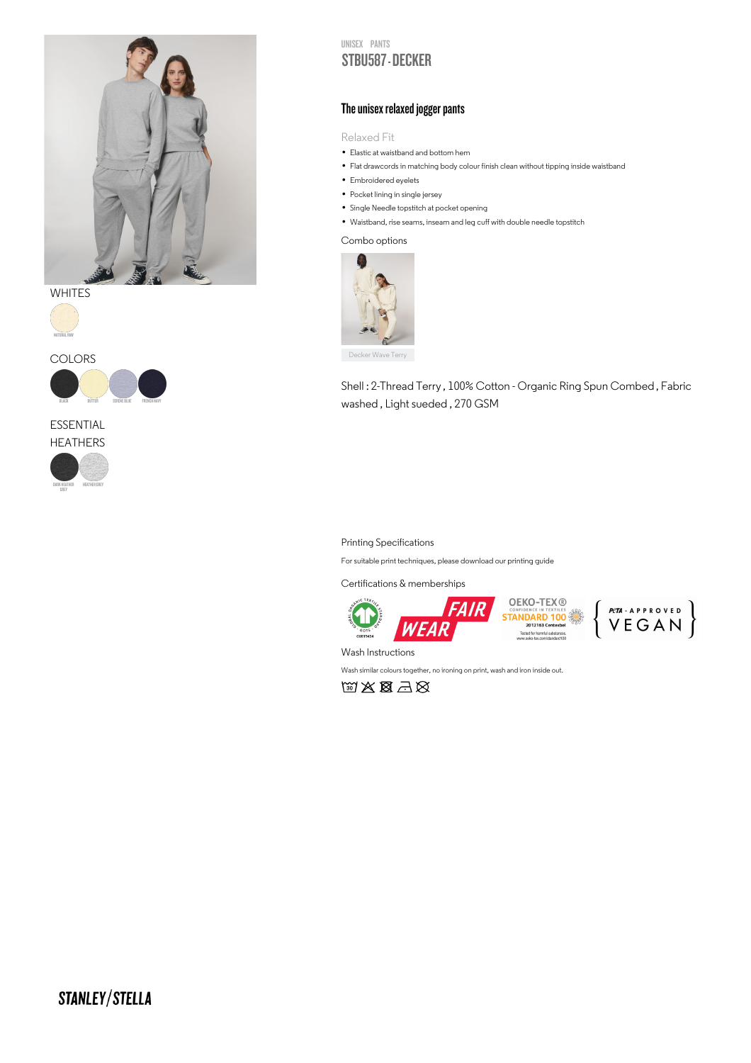

**WHITES** 







# ESSENTIAL



### UNISEX PANTS STBU587 - DECKER

# The unisex relaxed jogger pants

Relaxed Fit

- Kelaxed F1t<br>• Elastic at waistband and bottom hem
- Elastic at waistband and bottom hem<br>• Flat drawcords in matching body colour finish clean without tipping inside waistband
- Flat drawcords in mat<br>• Embroidered eyelets
- Embroidered eyelets<br>• Pocket lining in single jersey
- Pocket lining in single jersey<br>• Single Needle topstitch at pocket opening
- Single Needle topstitch at pocket opening<br>• Waistband, rise seams, inseam and leg cuff with double needle topstitch

#### Combo options



Decker Wave Terry

Shell : 2-Thread Terry , 100% Cotton - Organic Ring Spun Combed , Fabric washed , Light sueded , 270 GSM

#### Printing Specifications

For suitable print techniques, please download our printing guide

Certifications & memberships



Wash Instructions

Wash similar colours together, no ironing on print, wash and iron inside out.